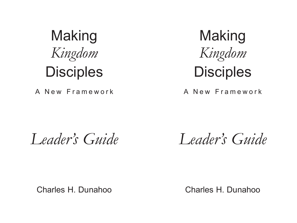

## **Disciples**

### A New Framework

*Leader's Guide*

### Charles H. Dunahoo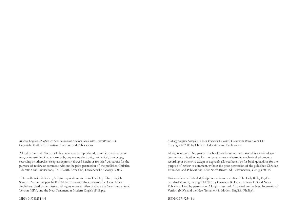*Making Kingdom Disciples: A New Framework Leader's Guide* with PowerPoint CD Copyright © 2005 by Christian Education and Publications

All rights reserved. No part of this book may be reproduced, stored in a retrieval system, or transmitted in any form or by any means-electronic, mechanical, photocopy, recording or otherwise-except as expressly allowed herein or for brief quotations for the purpose of review or comment, without the prior permission of the publisher, Christian Education and Publications, 1700 North Brown Rd, Lawrenceville, Georgia 30043.

Unless otherwise indicated, Scripture quotations are from The Holy Bible, English Standard Version, copyright © 2001 by Crossway Bibles, a division of Good News Publishers. Used by permission. All rights reserved. Also cited are the New International Version (NIV), and the New Testament in Modern English (Phillips).

ISBN: 0-9749254-4-6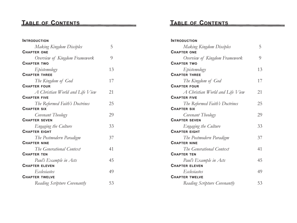### **TABLE OF CONTENTS ONTENTS**

| <b>INTRODUCTION</b>             |    |
|---------------------------------|----|
| Making Kingdom Disciples        | 5  |
| <b>CHAPTER ONE</b>              |    |
| Overview of Kingdom Framework   | 9  |
| <b>CHAPTER TWO</b>              |    |
| Epistemology                    | 13 |
| <b>CHAPTER THREE</b>            |    |
| The Kingdom of God              | 17 |
| <b>CHAPTER FOUR</b>             |    |
| A Christian World and Life View | 21 |
| <b>CHAPTER FIVE</b>             |    |
| The Reformed Faith's Doctrines  | 25 |
| <b>CHAPTER SIX</b>              |    |
| Covenant Theology               | 29 |
| <b>CHAPTER SEVEN</b>            |    |
| Engaging the Culture            | 33 |
| <b>CHAPTER EIGHT</b>            |    |
| The Postmodern Paradigm         | 37 |
| <b>CHAPTER NINE</b>             |    |
| The Generational Context        | 41 |
| <b>CHAPTER TEN</b>              |    |
| Paul's Example in Acts          | 45 |
| <b>CHAPTER ELEVEN</b>           |    |
| Ecclesiastes                    | 49 |
| <b>CHAPTER TWELVE</b>           |    |
| Reading Scripture Covenantly    | 53 |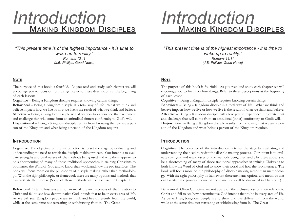### <u>Making Kingdom Disciples</u> *Introduction*

*"This present time is of the highest importance - it is time to wake up to reality." Romans 13:11 (J.B. Phillips, Good News)*

#### **NOTE**

The purpose of this book is fourfold. As you read and study each chapter we will encourage you to focus on four things. Refer to these descriptions at the beginning of each lesson:

**Cognitive** – Being a Kingdom disciple requires knowing certain things.

**Behavioral** – Being a Kingdom disciple is a total way of life. What we think and believe impacts how we live or how we live is the result of what we think and believe. **Affective** – Being a Kingdom disciple will allow you to experience the excitement and challenge that will come from an attitudinal (inner) conformity to God's will. **Dispositional** – Being a Kingdom disciple results from knowing that we are a person of the Kingdom and what being a person of the Kingdom requires.

#### **INTRODUCTION**

**Cognitive**: The objective of the introduction is to set the stage by evaluating and understanding the need to revisit the disciple-making process. Our intent is to evaluate strengths and weaknesses of the methods being used and why there appears to be a shortcoming of many of those traditional approaches in training Christians to both know the Word of God and to know their world and how the two interface. The book will focus more on the philosophy of disciple making rather than methodology. With the right philosophy or framework there are many options and methods that can facilitate the process. (Some of those methods will be discussed in Chapter 1.)

**Behavioral**: Often Christians are not aware of the inclusiveness of their relation to Christ and fail to see how determinative God intends that to be in every area of life. As we will see, Kingdom people are to think and live differently from the world, while at the same time not retreating or withdrawing from it. The Great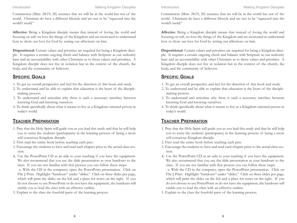Commission (Matt. 28:19, 20) assumes that we will be in the world but not of the world. Christians do have a different lifestyle and are not to be "squeezed into the world's mold."

**Affective**: Being a Kingdom disciple means that instead of loving the world and focusing on self, we love the things of the Kingdom and are motivated to understand how to show our love for God by setting our affections on him.

**Dispositional**: Certain values and priorities are required for being a Kingdom disciple. It requires a certain ongoing check and balance with Scripture as our authority base and an accountability with other Christians as to those values and priorities. A Kingdom disciple does not live in isolation but in the context of the church, the body, and the community of believers.

#### **SPECIFIC GOALS**

- 1. To get an overall perspective and feel for the direction of this book and study.
- 2. To understand and be able to explain that education is the heart of the disciplemaking process.
- 3. To understand and articulate why there is such a necessary interface between knowing God and knowing ourselves.
- 4. To think specifically about what it means to live as a Kingdom-oriented person in today's world.

#### **TEACHER PREPARATION**

- 1. Pray that the Holy Spirit will guide you as you lead this study and that he will help you to assist the students (participants) in the learning process of being a more self-conscious Kingdom disciple.
- 2. First read the entire book before teaching each part.
- 3. Encourage the students to have and read each chapter prior to the actual class session.
- 4. Use the PowerPoint CD as an aide to your teaching if you have the equipment. We also recommend that you use the slide presentation as your handouts to the class. If you are not familiar with that process you can follow these steps:

a. With the CD in the computer, open the PowerPoint presentation. Click on File ‡ Print. Highlight "handouts" under "slides." Click on three slides per page, which will print the slides on the left and a place for notes on the right. If you do not choose to use PowerPoint or do not have the equipment, the handouts will enable you to lead the class with an effective outline.

5. Explain to the class the fourfold parts of the learning process.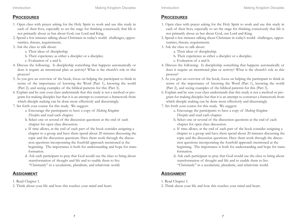#### **PROCEDURES**

- 1. Open class with prayer asking for the Holy Spirit to work and use this study in each of their lives, especially to set the stage for thinking consciously that life is not primarily about us but about God, our Lord and King.
- 2. Spend a few minutes talking about Christians in today's world: challenges, opportunities, threats, requirements.
- 3. Ask the class to talk about:
	- a. Their ideas of discipleship.
	- b. Their experience as either a discipler or a disciplee.
	- c. Evaluation of a and b.
- 4. Discuss the following: Is discipleship something that happens automatically or does it require an intentional plan or activity? What is the church's role in this process?
- 5. As you give an overview of the book, focus on helping the participant to think in terms of the importance of knowing the Word (Part 1), knowing the world (Part 2), and seeing examples of the biblical patterns for this (Part 3).
- 6. Explain and be sure your class understands that this study is not a method or program for making disciples but that it is an attempt to construct a framework from which disciple making can be done more effectively and discerningly.
- 7. Set forth your course for this study. We suggest:
	- a. Encourage the participants to have a copy of *Making Kingdom Disciples* and read each chapter.
	- b. Select one or several of the discussion questions at the end of each chapter for open class discussion.
	- c. If time allows, at the end of each part of the book consider assigning a chapter to a group and have them spend about 20 minutes discussing the topic and the discussion questions. Have them work through the discussion questions incorporating the fourfold approach mentioned at the beginning. The importance is both for understanding and hope for transformation.
	- d. Ask each participant to pray that God would use the class to bring about transformation of thought and life and to enable them to live "Christianly" in a secularistic, pluralistic, and relativistic world.

- 1. Read Chapter 1.
- 2. Think about your life and how this touches your mind and heart.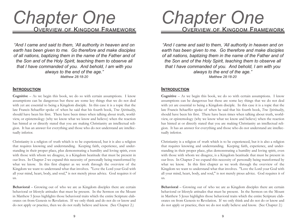### OVERVIEW OF KINGDOM FRAMEWORK *Chapter One*

*"And I came and said to them, 'All authority in heaven and on earth has been given to me. Go therefore and make disciples of all nations, baptizing them in the name of the Father and of the Son and of the Holy Spirit, teaching them to observe all that I have commanded of you. And behold, I am with you always to the end of the age." Matthew 28:18-20*

#### **INTRODUCTION**

**Cognitive** – As we begin this book, we do so with certain assumptions. I know assumptions can be dangerous but these are some key things that we do not deal with yet are essential to being a Kingdom disciple. In this case it is a topic that the late Francis Schaeffer spoke of when he said that his fourth book, *True Spirituality*, should have been his first. There have been times when talking about truth, worldview, or epistemology (why we know what we know and believe) when the reaction has hinted at or directly stated that you are making Christianity an intellectual religion. It has an answer for everything and those who do not understand are intellectually inferior.

Christianity is a religion of truth which is to be experienced, but it is also a religion that requires knowing and understanding. Keeping faith, experience, and understanding in their proper place, plus demonstrating a humility and loving spirit, even with those with whom we disagree, is a Kingdom beatitude that must be present in our lives. In Chapter 2 we expand this necessity of personally being transformed by what we know. In this first chapter as we work through the overview of the Kingdom we want to understand what that involves. "Love the Lord your God with all your mind, heart, body, and soul," is not merely pious advice. God requires it of us.

**Behavioral** – Growing out of who we are as Kingdom disciples there are certain behavioral or lifestyle attitudes that must be present. In the Sermon on the Mount in Matthew 5 Jesus highlights those behavioral traits which the entire Scripture elaborates on from Genesis to Revelation. If we only think and do not do or know and do not apply or practice, then we do not really believe and know. (See Chapter 2.)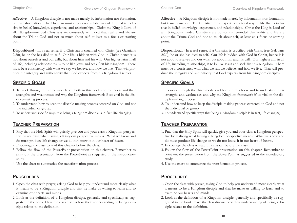**Affective -** A Kingdom disciple is not made merely by information nor formation, but transformation. The Christian must experience a total way of life that is inclusive in belief, knowledge, experience, and relationships. Christ the King is Lord of all. Kingdom-minded Christians are constantly reminded that reality and life are about the Triune God and not so much about self, at least as a focus or starting point.

**Dispositional** - In a real sense, if a Christian is crucified with Christ (see Galatians 2:20), he or she has died to self. Our life is hidden with God in Christ, hence it is not about ourselves and our wills, but about him and his will. Our highest aim in all of life, including relationships, is to be like Jesus and seek first his Kingdom. There must be a consistency with what we say, we believe, and how we live. That will produce the integrity and authenticity that God expects from his Kingdom disciples.

#### **SPECIFIC GOALS**

- 1. To work through the three models set forth in this book and to understand their strengths and weaknesses and why the Kingdom framework if so vital in the disciple-making process.
- 2. To understand how to keep the disciple-making process centered on God and not the individual or group.
- 3. To understand specific ways that being a Kingdom disciple is in fact, life-changing.

#### **TEACHER PREPARATION**

- 1. Pray that the Holy Spirit will quickly give you and your class a Kingdom perspective by realizing what having a Kingdom perspective means. What we know and do must produce life change or we do not know it in our heart of hearts.
- 2. Encourage the class to read this chapter before the class.
- 3. Follow the flow of the PowerPoint presentation on this chapter. Remember to print out the presentation from the PowerPoint as suggested in the introductory study.
- 4. Use the chart to summarize the transformation process.

#### **PROCEDURES**

- 1. Open the class with prayer, asking God to help you understand more clearly what it means to be a Kingdom disciple and that he make us willing to learn and to examine our hearts and minds.
- 2. Look at the definition of a Kingdom disciple, generally and specifically as suggested in the book. Have the class discuss how their understanding of being a disciple relates to the definition.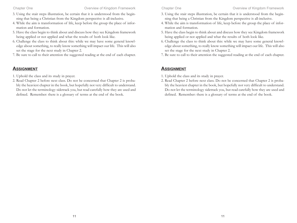- 3. Using the stair steps illustration, be certain that it is understood from the beginning that being a Christian from the Kingdom perspective is all-inclusive.
- 4. While the aim is transformation of life, keep before the group the place of information and formation.
- 5. Have the class begin to think about and discuss how they see Kingdom framework being applied or not applied and what the results of both look like.
- 6. Challenge the class to think about this: while we may have some general knowledge about something, to really know something will impact our life. This will also set the stage for the next study in Chapter 2.
- 7. Be sure to call to their attention the suggested reading at the end of each chapter.

- 1. Uphold the class and its study in prayer.
- 2. Read Chapter 2 before next class. Do not be concerned that Chapter 2 is probably the heaviest chapter in the book, but hopefully not very difficult to understand. Do not let the terminology sidetrack you, but read carefully how they are used and defined. Remember: there is a glossary of terms at the end of the book.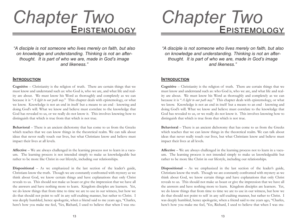## EPISTEMOLOG *Chapter Two*

*"A disciple is not someone who lives merely on faith, but also on knowledge and understanding. Thinking is not an afterthought. It is part of who we are, made in God's image and likeness."*

#### **INTRODUCTION**

**Cognitive** – Christianity is the religion of truth. There are certain things that we must know and understand such as: who God is, who we are, and what life and reality are about. We must know his Word as thoroughly and completely as we can because it is "*A light to our path way*." This chapter deals with epistemology, or what we know. Knowledge is not an end in itself but a means to an end - knowing and doing God's will. What we know and believe must correlate to the knowledge that God has revealed to us, or we really do not know it. This involves knowing how to distinguish that which is true from that which is not true.

**Behavioral** – There is an ancient dichotomy that has come to us from the Greeks which teaches that we can know things in the theoretical realm. We can talk about ideas that never really touch our lives, but what Christians know and believe must impact their lives at all levels.

**Affective** – We are always challenged in the learning process not to learn in a vacuum. The learning process is not intended simply to make us knowledgeable but rather to be more like Christ in our lifestyle, including our relationships.

**Dispositional** – As we emphasized in the last section of the leader's guide, Christians know the truth. Though we are constantly confronted with mystery as we think about God, we know certain things and have explanations that only Christ reveals to us. This should not make us boast or give the impression that we have all the answers and have nothing more to learn. Kingdom disciples are learners. Yet, we do know things that from time to time we are to use in our witness, but how we do that should not point to self in any self-exalting manner, but rather to Christ. I was deeply humbled, hence apologetic, when a friend said to me years ago, "Charles, here's how you make me feel, 'Yes, Richard, I used to believe that when I was stu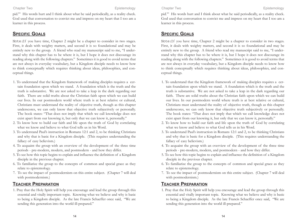pid.'" His words hurt and I think about what he said periodically, as a reality check. God used that conversation to convict me and impress on my heart that I too am a learner in this process.

#### **SPECIFIC GOALS**

Note: If you have time, Chapter 2 might be a chapter to consider in two stages. First, it deals with weighty matters, and second it is so foundational and may be entirely new to the group. A friend who read my manuscript said to me, "I understand why this chapter has to be where it is, but I hope it does not discourage its reading along with the following chapters." Sometimes it is good to avoid terms that are not always in everyday vocabulary, but a Kingdom disciple needs to know how to think conceptually which requires thinking about ideas, philosophies, and conceptual things.

- 1. To understand that the Kingdom framework of making disciples requires a certain foundation upon which we stand. A foundation which is the truth and the truth is substantive. We are not asked to take a leap in the dark regarding our faith. There are solid truths about the Christian faith upon which we can build our lives. In our postmodern world where truth is at best relative or cultural, Christians must understand the reality of objective truth, though as this chapter underscores, we can only know that objective truth subjectively or personally. The book states: "That does not imply that which we call knowledge does not exist apart from our knowing it, but only that we can know it, personally."
- 2. To know how to build our faith and life upon the truth of God by correlating what we know and believe to what God tells us in his Word.
- 3. To understand Paul's instruction in Romans 12:1 and 2, to be thinking Christians and why that is basic for a Kingdom disciple. (This requires understanding the fallacy of easy believism.)
- 4. To acquaint the group with an overview of the development of the three time periods - pre-modern, modern, and postmodern - and how they differ.
- 5. To see how this topic begins to explain and influence the definition of a Kingdom disciple in the previous chapter.
- 6. To familiarize the group to the concepts of common and special grace as they relate to epistemology.
- 7. To see the impact of postmodernism on this entire subject. (Chapter 7 will deal with postmodernism.)

#### **TEACHER PREPARATION**

1. Pray that the Holy Spirit will help you encourage and lead the group through this essential and vitally important topic. Knowing what we believe and why is basic to being a Kingdom disciple. As the late Francis Schaeffer once said, "We are sending this generation into the world ill-prepared."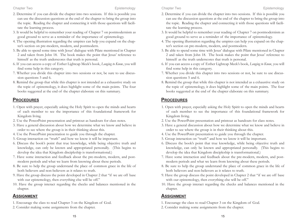- 2. Determine if you can divide the chapter into two sessions. If this is possible you can use the discussion questions at the end of the chapter to bring the group into the topic. Reading the chapter and connecting it with those questions will facilitate the learning process.
- 3. It would be helpful to remember your reading of Chapter 7 on postmodernism as good ground to serve as a reminder of the importance of epistemology.
- 4. The opening illustration regarding the umpires can help you expand on the chapter's section on pre-modern, modern, and postmodern.
- 5. Be able to spend some time with Jesus' dialogue with Pilate mentioned in Chapter 2 and taken from John 18. The book makes the point that Jesus' reference to himself as the truth underscores that truth is personal.
- 6. If you can access a copy of Esther Lightcap Meek's book, *Longing to Know*, you will find some help in this category.
- 7. Whether you divide this chapter into two sessions or not, be sure to use discussion questions 5 and 6.
- 8. Remind the group that while this chapter is not intended as a exhaustive study on the topic of epistemology, it does highlight some of the main points. The four books suggested at the end of the chapter elaborate on this summary.

#### **PROCEDURES**

- 1. Open with prayer, especially asking the Holy Spirit to open the minds and hearts of each member to see the importance of this foundational framework for Kingdom living.
- 2. Use the PowerPoint presentation and printout as handouts for class notes.
- 3. Have a general discussion about how we determine what we know and believe in order to see where the group is in their thinking about this.
- 4. Use the PowerPoint presentation to guide you through the chapter.
- 5. Group interaction on "truth" and how we know it will be important.
- 6. Discuss the book's point that true knowledge, while being objective truth and knowledge, can only be known and appropriated personally. (This begins to develop the idea that Kingdom discipleship is transformational.)
- 7. Have some interaction and feedback about the pre-modern, modern, and postmodern periods and what we learn from knowing about these periods.
- 8. Be sure to help the group understand the place of common grace in the life of both believers and non-believers as it relates to truth.
- 9. Have the group discuss the point developed in Chapter 2 that "if we are off base with our epistemology, then everything else will be off."
- 10. Have the group interact regarding the checks and balances mentioned in the chapter.

- 1. Encourage the class to read Chapter 3 on the Kingdom of God.
- 2. Consider making some assignments from the chapter.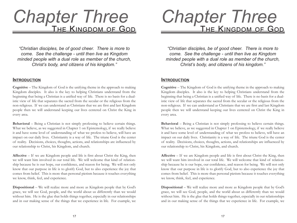## THE KINGDOM OF GOD *Chapter Three*

*"Christian disciples, be of good cheer. There is more to come. See the challenge - until then live as Kingdom minded people with a dual role as member of the church, Christ's body, and citizens of his kingdom."*

#### **INTRODUCTION**

**Cognitive** – The Kingdom of God is the unifying theme in the approach to making Kingdom disciples. It also is the key to helping Christians understand from the beginning that being a Christian is a unified way of life. There is no basis for a dualistic view of life that separates the sacred from the secular or the religious from the non-religious. If we can understand as Christians that we are first and last Kingdom people then we will understand keeping our lives centered on Christ the King in every area.

**Behavioral** – Being a Christian is not simply professing to believe certain things. What we believe, as we suggested in Chapter 1 on Epistemology, if we really believe it and have some level of understanding of what we profess to believe, will have an impact on our daily lives. Christianity is a way of life. The triune God is the center of reality. Decisions, choices, thoughts, actions, and relationships are influenced by our relationship to Christ, his Kingdom, and church.

**Affective** – If we are Kingdom people and life is first about Christ the King, then we will want him involved in our total life. We will welcome that kind of relationship because he is our hope, our confidence, and reason for being. We will not only know that our purpose in life is to glorify God, but to also experience the joy that comes from belief. This is more than personal pietism because it touches everything we know, think, feel, and experience.

**Dispositional** – We will realize more and more as Kingdom people that by God's grace, we will see God, people, and the world about us differently than we would without him. He is the glue that holds things together, especially in our relationships and in our making sense of the things that we experience in life. For example, we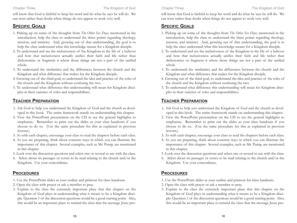will know that God is faithful to keep his word and do what he says he will do. We can trust rather than doubt when things do not appear to work very well.

#### **SPECIFIC GOALS**

- 1. Picking up on some of the thoughts from *The Other Six Days*, mentioned in the introduction, help the class to understand the three points regarding theology, mission, and ministry. And, growing out of that understanding, the goal is to help the class understand what this knowledge means for a Kingdom disciple.
- 2. To understand and see the inclusiveness of the Kingdom in the life of a believer and how that inclusiveness actually unifies their faith and life rather than dichotomize or fragment it where those things are not a part of the unified whole.
- 3. To understand the similarities and the differences between the church and the Kingdom and what difference that makes for the Kingdom disciple.
- 4. Growing out of the third goal, to understand the idea and practice of the roles of the church and the Kingdom without confusing the two.
- 5. To understand what difference this understanding will mean for Kingdom disciples in their varieties of roles and responsibilities.

#### **TEACHER PREPARATION**

- 1. Ask God to help you understand the Kingdom of God and the church as developed in this book. The entire framework stands on understanding this chapter.
- 2. View the PowerPoint presentation on the CD to see the general highlights to emphasize. Remember to print out the slides as your class handouts if you choose to do so. (Use the same procedure for this as explained in previous lessons.)
- 3. As with each chapter, encourage your class to read the chapters before each class.
- 4. As you are preparing, think about concrete ways in which you can illustrate the importance of this chapter. Several examples, such as Mr. Pump, are mentioned in this chapter.
- 5. Look over the discussion questions and select one or several to use with the class.
- 6. Select about six passages or verses to be read relating to the church and/or the Kingdom. Use your concordance.

#### **PROCEDURES**

- 1. Use the PowerPoint slides as your outline and printout for class handouts.
- 2. Open the class with prayer or ask a member to pray.
- 3. Explain to the class the extremely important place that this chapter on the Kingdom of God plays in understanding what it means to be a Kingdom disciple. Question 1 of the discussion questions would be a good starting point. Also, this would be an important place to remind the class that the message Jesus pro-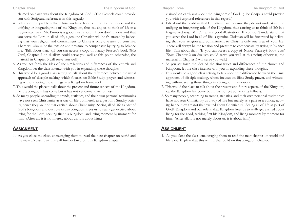claimed on earth was about the Kingdom of God. (The Gospels could provide you with Scriptural references in this regard.)

- 4. Talk about the problem that Christians have because they do not understand the unifying or integrating role of the Kingdom, thus causing us to think of life in a fragmented way. Mr. Pump is a good illustration. If you don't understand that you serve the Lord in all of life, a genuine Christian will be frustrated by believing that your religion and commitment to Christ is only one area of your life. There will always be the tension and pressure to compensate by trying to balance life. Talk about that. (If you can access a copy of Nancy Pearcey's book *Total Truth*, Chapter 2 on dualism could serve you well at this point; otherwise, the material in Chapter 3 will serve you well.)
- 5. As you set forth the idea of the similarities and differences of the church and Kingdom, let the class interact with you in expanding these thoughts.
- 6. This would be a good class setting to talk about the difference between the usual approach of disciple making, which focuses on Bible Study, prayer, and witnessing without seeing those things in a Kingdom framework.
- 7. This would the place to talk about the present and future aspects of the Kingdom, i.e. the Kingdom has come but it has not yet come in its fullness.
- 8. So many people, according to trends, statistics, and their own personal testimonies have not seen Christianity as a way of life but merely as a part or a Sunday activity, hence they are not that excited about Christianity. Seeing all of life as part of God's Kingdom and our role in that Kingdom frees us to really get excited about living for the Lord, seeking first his Kingdom, and living moment by moment for him. (After all, it is not merely about us, it is about him.)

#### **ASSIGNMENT**

1. As you close the class, encouraging them to read the next chapter on world and life view. Explain that this will further build on this Kingdom chapter.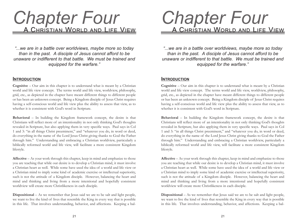## Chapter Four

*"...we are in a battle over worldviews, maybe more so today than in the past. A disciple of Jesus cannot afford to be unaware or indifferent to that battle. We must be trained and equipped for the warfare."*

#### **INTRODUCTION**

**Cognitive** – Our aim in this chapter is to understand what is meant by a Christian world and life view concept. The terms world and life view, worldview, philosophy, grid, etc., as depicted in the chapter have meant different things to different people or has been an unknown concept. Being a Kingdom disciple of Jesus Christ requires having a self-conscious world and life view plus the ability to assess that view, as to whether it is consistent with God's word in Scripture.

**Behavioral** – In building the Kingdom framework concept, the desire is that Christians will reflect more of an intentionality in not only thinking God's thoughts revealed in Scripture, but also applying them in very specific ways. Paul says in Col 1 and 3: "in all things Christ preeminent," and "whatever you do, in word or deed, do everything in the name of the Lord Jesus Christ giving thanks to God the Father through him." Understanding and embracing a Christian worldview, particularly a biblically reformed world and life view, will facilitate a more consistent Kingdom lifestyle.

**Affective** – As your work through this chapter, keep in mind and emphasize to those you are teaching that while our desire is to develop a Christian mind, it must involve a Christian heart as well. While some have used the idea of a world and life view or a Christian mind to imply some kind of academic exercise or intellectual superiority, such is not the attitude of a Kingdom disciple. However, balancing the heart and mind and thinking and living from a more intentional and hopefully consistent worldview will create more Christlikeness in each disciple.

**Dispositional** – As we remember that Jesus said we are to be salt and light people, we want to live the kind of lives that resemble the King in every way that is possible in this life. That involves understanding, behavior, and affections. Keeping a bal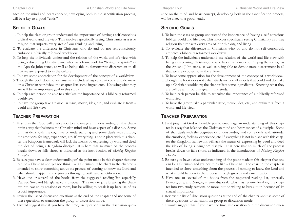ance on the mind and heart concept, developing both in the sanctification process, will be a key to a good "ends."

#### **SPECIFIC GOALS**

- 1. To help the class or group understand the importance of having a self-conscious biblical world and life view. This involves specifically seeing Christianity as a true religion that impacts every area of our thinking and living.
- 2. To evaluate the difference in Christians who do and do not self-consciously embrace a biblically reformed worldview.
- 3. To help the individuals understand the relation of the world and life view with being a discerning Christian, one who has a framework for "trying the spirits," as the Apostle John states, as well as being able to demonstrate discernment in all that we are exposed to in the culture.
- 4. To have some appreciation for the development of the concept of a worldview.
- 5. Though the book does not exhaustively include all aspects that could and do make up a Christian worldview, the chapter lists some ingredients. Knowing what they are will be an important goal in this study.
- 6. To help each person be able to articulate the importance of a biblically reformed worldview.
- 7. To have the group take a particular issue, movie, idea, etc., and evaluate it from a world and life view.

#### **TEACHER PREPARATION**

- 1. First pray that God will enable you to encourage an understanding of this chapter in a way that balances the Christian mind and heart aspect of a disciple. Some of that deals with the cognitive or understanding and some deals with attitude, the emotions, feelings, experience, etc. If everything is not in place with this chapter the Kingdom framework will lack the means of expressing by word and deed the idea of being a Kingdom disciple. It is here that so much of the process breaks down or falls short, as indicated in the introduction of *Making Kingdom Disciples*.
- 2. Be sure you have a clear understanding of the point made in this chapter that one can be a Christian and yet not think like a Christian. The chart in the chapter is intended to show something about the process of coming to know the Lord and what should happen in the process through growth and sanctification.
- 3. Have one or several of the books from the suggested reading list, especially Pearcey, Sire, and Naugle, at your disposal. This may require breaking the chapter into two study sessions or more, but be willing to break it up because of its crucial importance.
- 4. Review the list of discussion questions at the end of the chapter and use some of these questions to transition the group to discussion mode.
- 5. I would suggest that if you have the time, use question 5 in the discussion ques-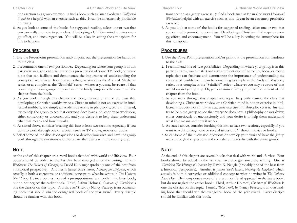tions section as a group exercise. (I find a book such as Brian Godawa's *Hollywood Worldviews* helpful with an exercise such as this. It can be an extremely profitable exercise.)

6. As you look at some of the books for suggested reading, select one or two that you can really promote to your class. Developing a Christian mind requires energy, effort, and encouragement. You will be a key in setting the atmosphere for this to happen.

#### **PROCEDURES**

- 1. Use the PowerPoint presentation and/or print out the presentation for handouts to the class.
- 2. I recommend one of two possibilities. Depending on where your group is in this particular area, you can start out with a presentation of some TV, book, or movie topic that can facilitate and demonstrate the importance of understanding the concept of worldview. It can be something as simple as the Andy of Mayberry series, or as complex as the "Seinfield" series - whatever you may be aware of that would impact your group. Or, you can immediately jump into the content of the chapter from the book.
- 3. As you work through this chapter and topic, frequently remind the class that developing a Christian worldview or a Christian mind is not an exercise in intellectual snobbery, nor simply an academic exercise in philosophy, yet it is. Instead, try to help the group to see that everyone does have a philosophy or worldview, either consciously or unconsciously and your desire is to help them understand what that means and how it works.
- 4. As stated above, consider breaking this into at least two sections, especially if you want to work through one or several issues or TV shows, movies or books.
- 5. Select some of the discussion questions or develop your own and have the group work through the questions and then share the results with the entire group.

#### **NOTE**

At the end of this chapter are several books that deal with world and life view. Four books should be added to the list that have emerged since the writing. One is *Worldview, The History of Concept*, by David K. Naugle (probably one of the best from a historical perspective). Another is James Sire's latest, *Naming the Elephant*, which actually is both a corrective or additional concept to what he writes in *The Universe Next Door*. He incorporates more of a presuppositional approach in the latest book, but do not neglect the earlier book. Third, Arthur Holmes', *Contours of Worldview* is one the classics on this topic. Fourth, *Total Truth*, by Nancy Pearcey, is an outstanding book that should win the evangelical book of the year award. Every disciple should be familiar with this book.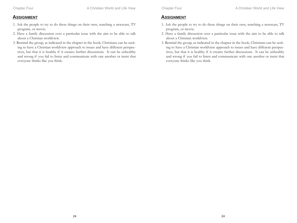- 1. Ask the people to try to do these things on their own, watching a newscast, TV program, or movie.
- 2. Have a family discussion over a particular issue with the aim to be able to talk about a Christian worldview.
- 3. Remind the group, as indicated in the chapter in the book, Christians can be seeking to have a Christian worldview approach to issues and have different perspectives, but that it is healthy if it creates further discussions. It can be unhealthy and wrong if you fail to listen and communicate with one another or insist that everyone thinks like you think.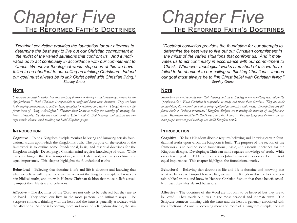## *Chapter Five* <u>The Reformed Faith's </u>

*"Doctrinal conviction provides the foundation for our attempts to determine the best way to live out our Christian commitment in the midst of the varied situations that confront us. And it motivates us to act continually in accordance with our commitment to Christ. Whenever theological works stop short of this we have failed to be obedient to our calling as thinking Christians. Indeed our goal must always be to link Christ belief with Christian living." Stanley Grenz*

#### **NOTE**

*Somewhere we need to make clear that studying doctrine or theology is not something reserved for the "professionals." Each Christian is responsible to study and know these doctrines. They are basic to developing discernment, as well as being equipped for ministry and service. Though there are different levels of "being a theologian," Kingdom disciples are to realize the necessity of studying doctrine. Remember the Apostle Paul's word in Titus 1 and 2. Bad teachings and doctrine can corrupt people whereas good teaching can build Kingdom people.* 

#### **INTRODUCTION**

**Cognitive** – To be a Kingdom disciple requires believing and knowing certain foundational truths upon which the Kingdom is built. The purpose of the section of the framework is to outline some foundational, basic, and essential doctrines for the Kingdom disciple. Developing a Christian mind requires knowledge of truth. While every teaching of the Bible is important, as John Calvin said, not every doctrine is of equal importance. This chapter highlights the foundational truths.

**Behavioral** – Believing that doctrine is life and life is doctrine and knowing that what we believe will impact how we live, we want the Kingdom disciple to know certain biblical truths, and know in Hebrew-Christian fashion that those beliefs actually impact their lifestyle and behaviors.

**Affective** – The doctrines of the Word are not only to be believed but they are to be loved. They touch our lives in the most personal and intimate ways. The Scripture connects thinking with the heart and the heart is generally associated with the affections. As one is becoming more and more of a Kingdom disciple, the aim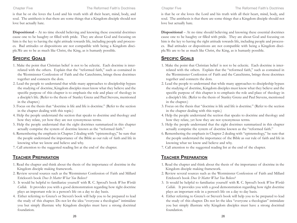is that he or she loves the Lord and his truth with all their heart, mind, body, and soul. The antithesis is that there are some things that a Kingdom disciple should not love but actually hate.

**Dispositional** – At no time should believing and knowing these essential doctrines cause one to be haughty or filled with pride. They are about God and focusing on him is the key to having the right attitude towards life, including people and processes. Bad attitudes or dispositions are not compatible with being a Kingdom disciple.We are to be as much like Christ, the King, as is humanly possible.

#### **SPECIFIC GOALS**

- 1. Make the point that Christian belief is not to be eclectic. Each doctrine is interrelated with the others. Explain that the "reformed faith," such as contained in the Westminster Confession of Faith and the Catechisms, brings those doctrines together and connects the dots.
- 2. Lead the people to understand that while many approaches to discipleship bypass the studying of doctrine, Kingdom disciples must know what they believe and the specific purpose of this chapter is to emphasis the role and place of theology in a disciple's life. (Refer to the thesis of Stanley Grenz and Paul Stevens, mentioned in the chapter.)
- 3. Focus on the thesis that "doctrine is life and life is doctrine." (Refer to the section in the chapter dealing with this topic.)
- 4. Help the people understand the section that speaks to doctrine and theology and how they relate, yet how they are not synonymous terms.
- 5. Help the people understand that the eight doctrines summarized in this chapter actually comprise the system of doctrine known as the "reformed faith."
- 6. Remembering the emphasis in Chapter 2 dealing with "epistemology," be sure that the people understand the importance of the Bible as our rule of faith and life in knowing what we know and believe and why.
- 7. Call attention to the suggested reading list at the end of the chapter.

#### **TEACHER PREPARATION**

- 1. Read the chapter and think about the thesis of the importance of doctrine in the Kingdom disciple making framework.
- 2. Review several sources such as the Westminster Confession of Faith and Millard Erickson's book *Does It Matter What You Believe?*
- 3. It would be helpful to familiarize yourself with R. C. Sproul's book *When Worlds Collide.* It provides you with a good demonstration regarding how right doctrine plays an important role in a person's life on a day to day basis.
- 4. Either referring to Grenz's or Steven's book will help you to be prepared to lead the study of this chapter. Do not let the idea "everyone a theologian" intimidate you but simply illustrate why Kingdom disciples must have a strong doctrinal foundation.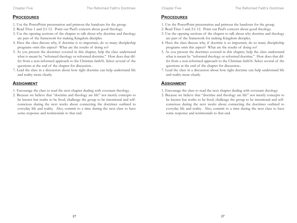#### **PROCEDURES**

- 1. Use the PowerPoint presentation and printout the handouts for the group.
- 2. Read Titus 1 and 2:1-12. Point out Paul's concern about good theology.
- 3. Use the opening sections of the chapter to talk about why doctrine and theology are part of the framework for making Kingdom disciples.
- 4. Have the class discuss why, if doctrine is so important, do so many discipleship programs omit this aspect? What are the results of doing so?
- 5. As you present the doctrines covered in this chapter, help the class understand what is meant by "reformed theology or reformed doctrine." How does that differ from a non-reformed approach to the Christian faith?6. Select several of the questions at the end of the chapter for discussion.
- 7. Lead the class in a discussion about how right doctrine can help understand life and reality more clearly.

- 1. Encourage the class to read the next chapter dealing with covenant theology.
- 2. Because we believe that "doctrine and theology are life" not merely concepts to be known but truths to be lived, challenge the group to be intentional and selfconscious during the next weeks about connecting the doctrines outlined to everyday life and reality. Also, commit to a time during the next class to have some response and testimonials to that end.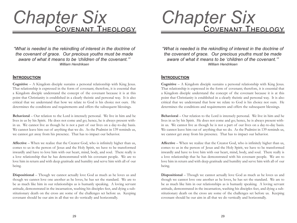## COVENANT THEOLOGY *Chapter Six*

*"What is needed is the rekindling of interest in the doctrine of the covenant of grace. Our precious youths must be made aware of what it means to be 'children of the covenant.'" William Hendriksen*

#### **INTRODUCTION**

**Cognitive** – A Kingdom disciple sustains a personal relationship with King Jesus. That relationship is expressed in the form of covenant; therefore, it is essential that a Kingdom disciple understand the concept of the covenant because it is at this point that Christianity is established in a clearly theistic and personal way. It is also critical that we understand that how we relate to God is his choice not ours. He determines the conditions and requirements and offers the subsequent blessings.

**Behavioral** – Our relation to the Lord is intensely personal. We live in him and he lives in us by his Spirit. He does not come and go; hence, he is always present within us. We cannot live as though he is not a part of our lives on a day-to-day basis. We cannot leave him out of anything that we do. As the Psalmist in 139 reminds us, we cannot get away from his presence. That has to impact our behavior.

**Affective** – When we realize that the Creator God, who is infinitely higher than us, comes to us in the person of Jesus and the Holy Spirit, we have to be transformed inwardly and have to love him with our heart, mind, body, and soul. There really is a love relationship that he has demonstrated with his covenant people. We are to love him in return and with deep gratitude and humility and serve him with all of our being.

**Dispositional** – Though we cannot actually love God as much as he loves us and though we cannot love one another as he loves, he has set the standard. We are to be as much like him in our relationships as is humanly speaking. A loving servant attitude, demonstrated in the incarnation, washing his disciples feet, and dying a substitutionary death on the cross are some of the challenges set before us. Keeping covenant should be our aim in all that we do vertically and horizontally.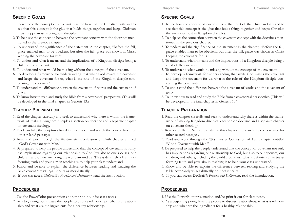#### **SPECIFIC GOALS**

- 1. To see how the concept of covenant is at the heart of the Christian faith and to see that this concept is the glue that holds things together and keeps Christian theism uppermost in Kingdom disciples.
- 2. To help see the connection between the covenant concept with the doctrines mentioned in the previous chapter.
- 3. To understand the significance of the statement in the chapter, "Before the fall, grace enabled man to be obedient, but after the fall, grace was shown in Christ keeping the covenant for us."
- 4. To understand what it means and the implications of a Kingdom disciple being a child of the covenant.
- 5. To understand what would be missing without the concept of the covenant.
- 6. To develop a framework for understanding that while God makes the covenant and keeps the covenant for us, what is the role of the Kingdom disciple concerning the covenant?
- 7. To understand the difference between the covenant of works and the covenant of grace.
- 8. To know how to read and study the Bible from a covenantal perspective. (This will be developed in the final chapter in Genesis 13.)

#### **TEACHER PREPARATION**

- 1. Read the chapter carefully and seek to understand why there is within the framework of making Kingdom disciples a section on doctrine and a separate chapter on covenant theology.
- 2. Read carefully the Scriptures listed in this chapter and search the concordance for other related passages.
- 3. Read and work through the Westminster Confession of Faith chapter entitled "God's Covenant with Man."
- 4. Be prepared to help the people understand that the concept of covenant not only has implications regarding our relationship to God, but also to our spouses, our children, and others, including the world around us. This is definitely a life transforming truth and your aim in teaching is to help your class understand.
- 5. Know and be able to explain the difference between reading and studying the Bible covenantly vs. legalistically or moralistically.
- 6. If you can access DeGraff 's *Promise and Deliverance*, read the introduction.

#### **PROCEDURES**

- 1. Use the PowerPoint presentation and/or print it out for class notes.
- 2. As a beginning point, have the people to discuss relationships: what is a relationship and what are the ingredients for a healthy relationship.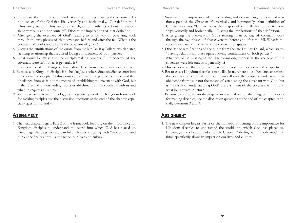- 3. Summarize the importance of understanding and experiencing the personal relation aspect of the Christian life, vertically and horizontally. Our definition of Christianity states, "Christianity is the religion of truth fleshed out in relationships vertically and horizontally." Discuss the implications of that definition.
- 4. After giving the overview of God's relating to us by way of covenant, work through the two phases of that covenant, before and after the fall. What is the covenant of works and what is the covenant of grace?
- 5. Discuss the ramifications of the quote from the late Dr. Ray Dillard, which states, "a living relationship that required loving commitment of both parties."
- 6. What would be missing in the disciple-making process if the concept of the covenant were left out, as it generally is?
- 7. Discuss some of the things we learn about God from a covenantal perspective.
- 8. Because as a Kingdom disciple is to be like Jesus, where does obedience enter into the covenant concept? At this point you will want the people to understand that obedience from us is not the means of establishing the covenant with God, but is the result of understanding God's establishment of the covenant with us and what he requires in return.
- 9. Because we see covenant theology as an essential part of the Kingdom framework for making disciples, use the discussion questions at the end of the chapter, especially questions 3 and 4.

#### **ASSIGNMENT**

1. The next chapter begins Part 2 of the framework focusing on the importance for Kingdom disciples to understand the world into which God has placed us. Encourage the class to read carefully Chapter 7 dealing with "modernity," and think specifically about its impact on our lives and culture.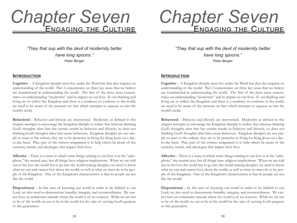## ENGAGING THE CULTURE *Chapter Seven*

*"They that sup with the devil of modernity better have long spoons." Peter Berger*

#### **INTRODUCTION**

**Cognitive** – A Kingdom disciple must live under the Word but that also requires an understanding of the world. Part 2 concentrates on three key areas that we believe are foundational in understanding the world. The first of the three areas concentrates on understanding "modernity" and its impact on our lives. If our thinking and living are to reflect the Kingdom and there is a tendency to conform to the world, we need to be aware of the pressure we face which attempts to squeeze us into the world's mold.

**Behavioral** – Behavior and lifestyle are intertwined. Modernity as defined in this chapter attempts to encourage the Kingdom disciple to realize that whereas thinking God's thoughts after him has certain results in behavior and lifestyle, so does not thinking God's thoughts after him create behaviors. Kingdom disciples are not simply to react to the culture, they are to be proactive in living for King Jesus on a dayto-day basis. Plus, part of the witness assignment is to help others be aware of the currents, trends, and ideologies that impact their lives.

**Affective** – There is a sense in which some things relating to our lives is in the "adiophora," the neutral area, but all things have religious implications. When we are told not to the love the world but to go into the world making disciples, we need to know what we can and cannot love about the world, as well as what we must do to be people of the Kingdom. One of the Kingdom's characteristics is that its people are not like the world.

**Dispositional** – In this area of knowing our world in order to be faithful to our Lord, we also need to demonstrate humility, integrity, and trustworthiness. We cannot have an isolationist attitude where the world is of no concern. While we are not to be of the world, we are to be in the world for the sake of serving God's purpose to this generation.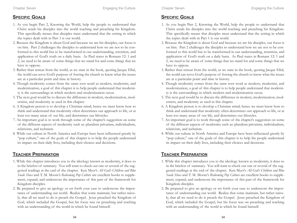#### **SPECIFIC GOALS**

- 1. As you begin Part 2, Knowing the World, help the people to understand that Christ sends his disciples into the world teaching and preaching his Kingdom. This specifically means that disciples must understand that the setting in which the topics dealt with in Part 1 is our world.
- 2. Because the Kingdom is about God and because we are his disciples, our focus is on him. Part 2 challenges the disciples to understand how we are not to be conformed to this world but to be transformed in our understanding, retention, and application of God's truth on a daily basis. As Paul states in Romans 12: 1 and 2, we need to be aware of some things that we stand for and some things that we have to oppose.
- 3. Rather than retreat from the world, as we state in the book, quoting Jacque Ellul, the world can serve God's purpose of forcing the church to know what the issues are at a particular point and time in history.
- 4. Though modernity comes from the same root word as modern, modernist, and modernization, a goal of this chapter is to help people understand that modernity is the surroundings in which modern and modernization occur.
- 5. The next goal would be to discuss the difference in modern, modernization, modernists, and modernity as used in this chapter.
- 6. A Kingdom person is to develop a Christian mind; hence we must know how to think and understand that modernity often determines our approach to life, or at least too many areas of our life, and determines our lifestyles.
- 7. An important goal is to work through some of the chapter's suggestion on some of the different aspects of modernity such as: pluralism privatism, individualism, relativism, and technism.
- 8. While our culture in North America and Europe have been influenced greatly by "pop culture," one of the goals of this chapter is to help the people understand its impact on their daily lives, including their choices and decisions.

#### **TEACHER PREPARATION**

- 1. While this chapter introduces you to the ideology known as modernity, it does so in the briefest of summary. You will want to check out one or several of the suggested readings at the end of the chapter. Ken Myer's *All God's Children and Blue Suede Shoes* and T. M. Moore's *Redeeming Pop Culture* are excellent books to supplement, expand, and underscore the importance of this part of the framework for Kingdom disciples.
- 2. Be prepared to give an apology or set forth your case to underscore the importance of understanding our world. Realize that some maintain, but rather naively, that all we need to do is preach the Gospel. Jesus preached the Kingdom of God, which included the Gospel, but his focus was on preaching and teaching with an understanding of the world in which he found himself.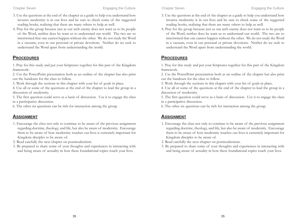- 3. Use the questions at the end of the chapter as a guide to help you understand how invasive modernity is in our lives and be sure to check some of the suggested reading books, realizing that there are many others to help as well.
- 4. Pray for the group because just as our arch enemy does not want us to be people of the Word, neither does he want us to understand our world. The two are so intertwined that one cannot happen without the other. We do not study the Word in a vacuum, even in our personal or private devotions. Neither do we seek to understand the Word apart from understanding the world.

#### **PROCEDURES**

1. Pray for this study and put your Scriptures together for this part of the Kingdom framework.

2. Use the PowerPoint presentation both as an outline of the chapter but also print out the handouts for the class to follow.

3. Work through the sections in this chapter with your list of goals in place.

4. Use all or some of the questions at the end of the chapter to lead the group in a discussion of modernity.

5. The first question could serve as a basis of discussion. Use it to engage the class in a participative discussion.

6. The other six questions can be rich for interaction among the group.

- 1. Encourage the class not only to continue to be aware of the previous assignment regarding doctrine, theology, and life, but also be aware of modernity. Encourage them to be aware of how modernity touches our lives is extremely important for Kingdom disciples to be aware of.
- 2. Read carefully the next chapter on postmodernism.
- 3. Be prepared to share some of your thoughts and experiences in interacting with and being aware of actuality in how these foundational topics touch your lives.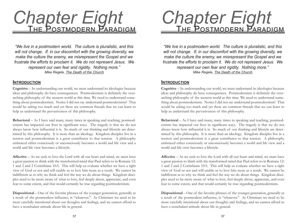# **Chapter Eight**<br>
<u>THE POSTMODERN PARADIGM</u>

*"We live in a postmodern world. The culture is pluralistic, and this will not change. If, in our discomfort with the growing diversity, we make the culture the enemy, we misrepresent the Gospel and we frustrate the efforts to proclaim it. We do not represent Jesus. We represent our own fear and rigidity. Nothing more." Mike Regele, The Death of the Church*

#### **INTRODUCTION**

**Cognitive** – In understanding our world, we must understand its ideologies because ideas and philosophy do have consequences. Postmodernism is definitely the overarching philosophy of the western world at this time. We need to understand something about postmodernism. Notice I did not say understand postmodernism? That would be asking too much and yet there are common threads that we can learn to help us understand the pervasiveness of this philosophy.

**Behavioral** – As I have said many, many times in speaking and teaching, postmodernism has impacted our lives in significant ways. The tragedy is that we do not always know how influential it is. So much of our thinking and lifestyle are determined by this philosophy. It is more than an ideology. Kingdom disciples live in a tension and postmodernism is a great contributor to that tension. A philosophy embraced either consciously or unconsciously becomes a world and life view and a world and life view becomes a lifestyle.

**Affective** – As we seek to love the Lord with all our heart and mind, we must have a great passion to think with the transformed mind that Paul refers to in Romans 12: 1 and 2 and 2 Corinthians 10:5. This will help us evaluate whether we have a right view of God or not and will enable us to love him more as a result. We cannot be indifferent as to why we think and feel the way we do about things. Kingdom disciples need to be more aware of what to love, feel deeply about, appreciate, and even fear to some extent, and that would certainly be true regarding postmodernism.

**Dispositional** – One of the favorite phrases of the younger generation, generally as a result of the postmodern influence, is "whatever." As Christians we need to be more carefully intentional about our thoughts and feelings, and we cannot afford to have a nonchalant attitude about life in general.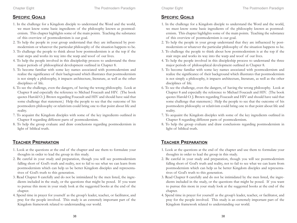#### **SPECIFIC GOALS**

- 1. In the challenge for a Kingdom disciple to understand the Word and the world, we must know some basic ingredients of the philosophy known as postmodernism. This chapter highlights some of the main points. Teaching the substance of this overview of postmodernism is our goal.
- 2. To help the people in your group understand that they are influenced by postmodernism or whatever the particular philosophy of the situation happens to be.
- 3. To challenge the people to think about how postmodernism is at the top if the stair steps and works its way into the warp and woof of our lives.
- 4. To help the people involved in this discipleship process to understand the three major periods of philosophical development outlined in Chapter 8.
- 5. To become familiar with some key names associated with postmodernism and realize the significance of their background which illustrates that postmodernism is not simply a philosophy, it impacts architecture, literature, as well as the other disciplines of life.
- 6. To see the challenge, even the dangers, of having the wrong philosophy. Look at Chapter 8 and especially the reference to Michael Foucault and HIV. (The book quotes Harold O. J. Brown regarding Foucault and HIV and should have said that some challenge that statement.) Help the people to see that the outcome of his postmodern philosophy or relativism could bring one to that point about life and reality.
- 7. To acquaint the Kingdom disciples with some of the key ingredients outlined in Chapter 8 regarding different parts of postmodernism.
- 8. To help the group evaluate and draw conclusions regarding postmodernism in light of biblical truth.

#### **TEACHER PREPARATION**

- 1. Look at the questions at the end of the chapter and use them to formulate your thoughts in order to lead the group in this study.
- 2. Be careful in your study and preparation, though you will see postmodernism falling short of God's truth and reality, not to fail to see what we can learn from postmodernism which can help us be better Kingdom disciples and representatives of God's truth to this generation.
- 3. Read Chapter 8 carefully and do not be intimidated by the men listed, the ingredients included in the study, or the questions that might be posed. If you want to pursue this more in your study look at the suggested books at the end of the chapter.
- 4. Spend time in prayer for yourself as the group's leader, teacher, or facilitator, and pray for the people involved. This study is an extremely important part of the Kingdom framework related to understanding our world.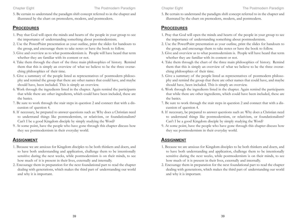5. Be certain to understand the paradigm shift concept referred to in the chapter and illustrated by the chart on premodern, modern, and postmodern.

#### **PROCEDURES**

- 1. Pray that God will open the minds and hearts of the people in your group to see the importance of understanding something about postmodernism.
- 2. Use the PowerPoint presentation as your outline, print the slides for handouts to the group, and encourage them to take notes or have the book to follow.
- 3. Give and overview as to what postmodernism is. People will have heard that term whether they are familiar with its content or not.
- 4. Take them through the chart of the three main philosophies of history. Remind them that this is simply an overview of what we believe to be the three overarching philosophies of their time.
- 5. Give a summary of the people listed as representatives of postmodern philosophy and remind the group that there are other names that could have, and maybe should have, been included. This is simply an overview.
- 6. Work through the ingredients listed in the chapter. Again remind the participants that while there are other ingredients, which could have been included, these are the basics.
- 7. Be sure to work through the stair steps in question 2 and connect that with a discussion of question 4.
- 8. If necessary, be prepared to answer questions such as: Why does a Christian need to understand things like postmodernism, or relativism, or foundationalism? Can't I be a good Kingdom disciple by simply studying the Word?
- 9. At some point, have the people who have gone through this chapter discuss how they see postmodernism in their everyday world.

- 1. Because we are anxious for Kingdom disciples to be both thinkers and doers, and to have both understanding and application, challenge them to be intentionally sensitive during the next weeks, while postmodernism is on their minds, to see how much of it is present in their lives, externally and internally.
- 2. Encourage them in preparation for the next foundational part to read the chapter dealing with generations, which makes the third part of understanding our world and why it is important.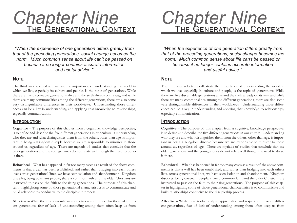# **Chapter Nine<br>THE GENERATIONAL CONTEXT**

*"When the experience of one generation differs greatly from that of the preceding generations, social change becomes the norm. Much common sense about life can't be passed on because it no longer contains accurate information and useful advice."*

#### **NOTE**

The third area selected to illustrate the importance of understanding the world in which we live, especially its culture and people, is the topic of generations. While there are five discernable generations alive and the sixth already on its way, and while there are many commonalities among the different generations, there are also some very distinguishable differences in their worldviews. Understanding those differences can be a key in understanding and applying that knowledge to relationships, especially communication.

#### **INTRODUCTION**

**Cognitive** – The purpose of this chapter from a cognitive, knowledge perspective, is to define and describe the five different generations in our culture. Understanding who they are and what distinguishes them from the others, other than age, is important in being a Kingdom disciple because we are responsible to minister to those around us, regardless of age. There are myriads of studies that conclude that the older generations and the younger ones do not relate well though the need to do so is there.

**Behavioral** – What has happened in far too many cases as a result of the above comments is that a wall has been established, and rather than bridging into each others lives across generational lines, we have seen isolation and abandonment. Kingdom disciples, being covenant people, share a common faith and the older Christians are instructed to pass on the faith to the rising generations. The purpose of this chapter in highlighting some of those generational characteristics is to communicate and build relationships conducive to the discipleship process.

**Affective** – While there is obviously an appreciation and respect for those of different generations, fear of lack of understanding among them often keep us from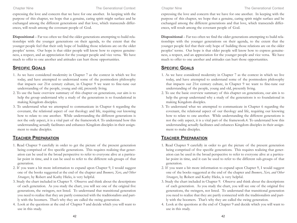expressing the love and concern that we have for one another. In keeping with the purpose of this chapter, we hope that a genuine, caring spirit might surface and be exchanged among the different generations and that love, which transcends differences, will result among the covenant people of God.

**Dispositional** – Far too often we find the older generations attempting to build relationships with the younger generations on their agenda, to the extent that the younger people feel that their only hope of building those relations are on the older peoples' terms. Our hope is that older people will know how to express genuineness, a respect, and an appreciation for the younger people and vice versa. We have much to offer to one another and attitudes can hurt those opportunities.

#### **SPECIFIC GOALS**

- 1. As we have considered modernity in Chapter 7 as the context in which we live today, and have attempted to understand some of the postmodern philosophy that impacts our 21st century culture, in Chapter 9 we want to fine-tune our understanding of the people, young and old, presently living.
- 2. To use the basic overview summary of this chapter on generations, our aim is to help the group understand why a study of the generations is so foundational in making Kingdom disciples.
- 3. To understand what we attempted to communicate in Chapter 6 regarding the covenant, the relational aspect of our theology and life, requiring our knowing how to relate to one another. While understanding the different generations is not the only aspect, it is a vital part of the framework.4. To understand how this understanding actually facilitates and enhances Kingdom disciples in their assignment to make disciples.

#### **TEACHER PREPARATION**

- 1. Read Chapter 9 carefully in order to get the picture of the present generation being comprised of five specific generations. This requires realizing that generation can be used in the broad perspective to refer to everyone alive at a particular point in time, and it can be used to refer to the different sub-groups of that generation.
- 2. If you want a bit more information to expand upon Chapter 9, I would suggest one of the books suggested at the end of the chapter and *Boomers, Xers, and Other Strangers*, by Robert and Kathy Hicks, is very helpful.
- 3. Study the chart included in Chapter 9. Observe and think about the descriptions of each generation. As you study the chart, you will see one of the original five generations, the swingers, not listed. To understand that transitional generation you need to realize that they are partly connected with the traditionalists and partly with the boomers. That's why they are called the swing generation.
- 4. Look at the questions at the end of Chapter 9 and decide which you will want to use in this study.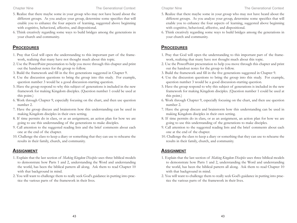- 5. Realize that there maybe some in your group who may not have heard about the different groups. As you analyze your group, determine some specifics that will enable you to enhance the four aspects of learning, suggested above beginning with cognitive, behavioral, affective, and dispositional.
- 6. Think creatively regarding some ways to build bridges among the generations in your church and community.

#### **PROCEDURES**

- 1. Pray that God will open the understanding to this important part of the framework, realizing that many have not thought much about this topic.
- 2. Use the PowerPoint presentation to help you move through this chapter and print out the handout notes for the group to follow.
- 3. Build the framework and fill in the five generations suggested in Chapter 9.
- 4. Use the discussion questions to bring the group into this study. For example, question number 3 would be a good discussion-starting question.
- 5. Have the group respond to why this subject of generations is included in the new framework for making Kingdom disciples. (Question number 1 could be used at this point.)
- 6. Work through Chapter 9, especially focusing on the chart, and then use question number 2.
- 7. Have the group discuss and brainstorm how this understanding can be used in making Kingdom disciples in their own setting.
- 8. If time permits do in class, or as an assignment, an action plan for how we are going to use this understanding of the generations to make disciples.
- 9. Call attention to the suggested reading lists and the brief comments about each one at the end of the chapter.
- 10. Challenge the class to keep a diary or something that they can use to rehearse the results in their family, church, and community.

- 1. Explain that the last section of *Making Kingdom Disciples* uses three biblical models to demonstrate how Parts 1 and 2, understanding the Word and understanding the world, has been the biblical pattern all along. Ask them to read Chapter 10 with that background in mind.
- 2. You will want to challenge them to really seek God's guidance in putting into practice the various parts of the framework in their lives.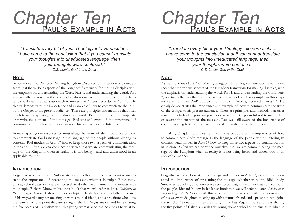# **Chapter Ten<br>PAUL'S EXAMPLE IN ACT**

*"Translate every bit of your Theology into vernacular... I have come to the conclusion that if you cannot translate your thoughts into uneducated language, then your thoughts were confused." C.S. Lewis, God in the Dock*

#### **NOTE**

As we move into Part 3 of Making Kingdom Disciples, our intention is to underscore that the various aspects of the Kingdom framework for making disciples, with the emphasis on understanding the Word, Part 1, and understanding the world, Part 2, is actually the way that the process has always worked. For example: in this chapter we will examine Paul's approach to ministry in Athens, recorded in Acts 17. He clearly demonstrates the importance and example of how to communicate the truth of the Gospel to his present audience. There are principles and methods that offer much to us today living in our postmodern world. Being careful not to manipulate or rewrite the content of the message, Paul was still aware of the importance of communicating truth with an awareness of his audience or the listeners.

In making Kingdom disciples we must always be aware of the importance of how to communicate God's message in the language of the people without altering its content. Paul models in Acts 17 how to keep those two aspects of communication in tension. Often we can convince ourselves that we are communicating the message of the Kingdom when in reality it is not being heard and understood in an applicable manner.

#### **INTRODUCTION**

**Cognitive** – As we look at Paul's strategy and method in Acts 17, we want to understand the importance of presenting the message, whether in pulpit, Bible study, Sunday school class, or wherever we seek to do that, in a manner that connects with the people. Richard Mouw in his latest book that we will refer to later, *Calvinism in the Las Vegas Airport*, deals with this very topic. He starts out with a father in search of his wayward daughter, meeting up with a mutual friend, and a prostitute who joins the search. At one point they are sitting in the Las Vegas airport and he is sharing the five points of Calvinism with this young woman who has no clue as to what he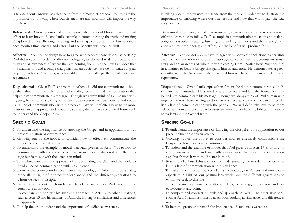is talking about. Mouw uses this scene from the movie "Hardcore" to illustrate the importance of knowing where our listeners are and how that will impact the way they hear us.

**Behavioral** – Growing out of that awareness, what we would hope to see is a real effort to learn how to follow Paul's example in communicating the truth and making Kingdom disciples. Reading, listening, and seeking to understand the listener/audience requires time, energy, and effort, but the benefits will produce fruit.

**Affective** – You do not always have to agree with peoples' conclusions, as certainly Paul did not, but in order to offer an apologetic, we do need to demonstrate sensitivity and an awareness of where they are coming from. Notice how Paul does that in a manner to build a bridge that gains him an audience. He demonstrates a great empathy with the Athenians, which enabled him to challenge them with faith and repentance.

**Dispositional** – Given Paul's approach in Athens, he did not communicate a "holier than thou" attitude. He started where they were and laid the foundation that helped him communicate his message. Though we always think of Paul as man with urgency, he was always willing to do what was necessary to reach out to and establish a line of communication with the people. We will definitely have to be more relational in our approach today because so many do not have the biblical framework to understand the Gospel truth.

#### **SPECIFIC GOALS**

- 1. To understand the importance of knowing the Gospel and its application to our present situation or circumstance.
- 2. Growing out of the above, to consider how to effectively communicate the Gospel to those to whom we minister.
- 3. To understand the example or model that Paul gives us in Acts 17 as to how to communicate with the audience with an awareness that does not alter the message but frames it with the listener in mind.
- 4. To see how Paul used this approach of understanding the Word and the world to build a line of communication with his audience.
- 5. To make the connection between Paul's methodology in Athens and ours today, especially in light of our postmodern world and the different generations to whom we seek to disciple.
- 6. To be certain about our foundational beliefs, as we suggest Paul was, and not equivocate at any point.
- 7. To compare and contrast his style and approach in Acts 17 to other situations, such as Acts 13 and his ministry at Antioch, looking at similarities and differences in approach.
- 8. To help the group understand the importance of audience awareness.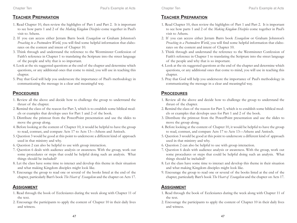#### **TEACHER PREPARATION**

- 1. Read Chapter 10, then review the highlights of Part 1 and Part 2. It is important to see how parts 1 and 2 of the *Making Kingdom Disciples* come together in Paul's visit to Athens.
- 2. If you can access either Jerram Barrs book *Evangelism* or Graham Johnston's *Preaching to a Postmodern World*, you will find some helpful information that elaborates on the content and intent of Chapter 10.
- 3. Think through and understand the reference to the Westminster Confession of Faith's reference in Chapter 1 to translating the Scripture into the street language of the people and why that is so important.
- 4. Look at the six suggested questions at the end of the chapter and determine which questions, or any additional ones that come to mind, you will use in teaching this chapter.
- 5. Pray that God will help you underscore the importance of Paul's methodology in communicating the message in a clear and meaningful way.

#### **PROCEDURES**

- 1. Review all the above and decide how to challenge the group to understand the thrust of the chapter.
- 2. Remind the class of the reason for Part 3, which is to establish some biblical models or examples that develops uses for Part 1 and 2 of the book.
- 3. Distribute the printout from the PowerPoint presentation and use the slides to move the group along.
- 4. Before looking at the content of Chapter 10, it would be helpful to have the group to read, contrast, and compare Acts 17 to Acts 13—Athens and Antioch.
- 5. Question 3 would be good at this point to underscore a different kind of approach used in that ministry and why.
- 6. Question 2 can also be helpful to use with group interaction.
- 7. Question 6 deals with audience analysis or awareness. With the group, work out some procedures or steps that could be helpful doing such an analysis. What things should be included?
- 8. Let the class have some time to interact and develop this theme in their situation and what making Kingdom disciples might look like.
- 9. Encourage the group to read one or several of the books listed at the end of the chapter, particularly Barr's book *The Heart of Evangelism* and the chapter on Acts 17.

- 1. Read through the book of Ecclesiastes during the week along with Chapter 11 of the text.
- 2. Encourage the participants to apply the content of Chapter 10 in their daily lives and witness.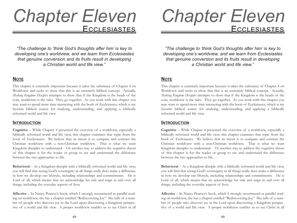## CCLESIAST *Chapter Eleven*

*"The challenge to 'think God's thoughts after him' is key to developing one's worldview, and we learn from Ecclesiastes that genuine conversion and its fruits result in developing a Christian world and life view."*

#### **NOTE**

This chapter is extremely important because it takes the substance of Chapter 4 on Worldview and seeks to show that this is an extremely biblical concept. Actually, *Making Kingdom Disciples* attempts to show that if the Kingdom is the heads of the coin, worldview is the tales. They go together. As you work with this chapter you may want to spend more time interacting with the book of Ecclesiastes, which is my favorite biblical source for studying, understanding, and applying a biblically reformed world and life view.

#### **INTRODUCTION**

**Cognitive** – While Chapter 4 presented the overview of a worldview, especially a biblically reformed world and life view, this chapter examines that topic from the book of Ecclesiastes. We believe that its intent is to compare and contrast the Christian worldview with a non-Christian worldview. That is what we want Kingdom disciples to understand. Or another way to address the cognitive thrust of this chapter is for the reader or group to see and understand the difference between the two approaches to life.

**Behavioral** – As a Kingdom disciple with a biblically reformed world and life view, you will find that seeing God's sovereignty in all things really does make a difference in how we develop our lifestyle, including relationships and commitments. He is Lord of all, which means that we acknowledge his rule and reign in and over all things, including the everyday aspects of lives.

**Affective** – In Nancy Pearcey's book, which I strongly recommend as parallel reading on worldview, she has a chapter entitled "Rediscovering Joy." She tells of a number of people who discover joy in the Lord upon discovering a Kingdom perspective of a world and life view. A proper worldview enables us to see Christ in all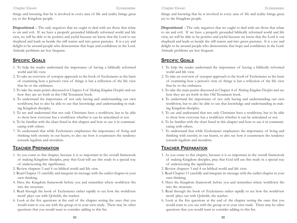#### Chapter Eleven Ecclesiastes

things and knowing that he is involved in every area of life and reality brings great joy to the Kingdom people.

**Dispositional** – The only negatives that we ought to deal with are those that relate to sin and evil. If we have a properly grounded biblically reformed world and life view, we will be able to be positive and joyful because we know that the Lord is our shepherd and leads us beside the still waters and into green pastures. It is a joy and delight to be around people who demonstrate that hope and confidence in the Lord. Attitude problems are less frequent.

#### **SPECIFIC GOALS**

- 1. To help the reader understand the importance of having a biblically reformed world and life view.
- 2. To take an overview of synopsis approach to the book of Ecclesiastes as the basis of examining how a person's view of things is but a reflection of the life view that he or she embraces.
- 3. To take the main points discussed in Chapter 4 of *Making Kingdom Disciples* and see how they are set forth in this Old Testament book.
- 4. To understand the importance of not only having and understanding our own worldview, but to also be able to use that knowledge and understanding in making Kingdom disciples.
- 5. To see and understand that not only Christians have a worldview, but to be able to show how everyone has a worldview whether is can be articulated or not.
- 6. To be familiar with the chart listed in this chapter and how to use it in communicating with others.
- 7. To understand that while Ecclesiastes emphasizes the importance of living and thinking with eternity in our hearts, to also see how it counteracts the tendency towards legalism and moralism.

#### **TEACHER PREPARATION**

- 1. As you come to this chapter, because it is so important in the overall framework of making Kingdom disciples, pray that God will use this study in a special way of underscoring the significance.
- 2. Review chapters 3 and 4 on biblical world and life view.
- 3. Read Chapter 11 carefully and integrate its message with the earlier chapter in your own thinking.
- 4. Have the Kingdom framework before you and remember where worldview fits into the structure.
- 5. Read through the book of Ecclesiastes rather rapidly to see how the worldview motif plays out with Qohelth, the teacher.
- 6. Look at the five questions at the end of the chapter noting the ones that you would want to you use with the group or in your own study. There may be other questions that you would want to consider adding to this list.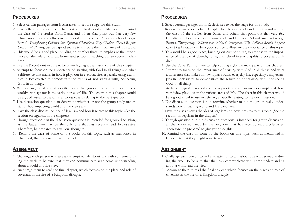#### **PROCEDURES**

- 1. Select certain passages from Ecclesiastes to set the stage for this study.
- 2. Review the main points from Chapter 4 on biblical world and life view and remind the class of the studies from Barna and others that point out that very few Christians embrace a self-conscious world and life view. A book such as George Barna's *Transforming Children into Spiritual Champions, Why Children Should Be your Church's #1 Priority*, can be a good source to illustrate the importance of this topic.
- 3. This would be a good place, building on number three, to emphasize the importance of the role of church, home, and school in teaching this to covenant children.
- 4. Use the PowerPoint outline to help you highlight the main parts of this chapter.
- 5. Attempt to focus on the importance of starting with God in all things and what a difference that makes in how it plays out in everyday life, especially using examples in Ecclesiastes to demonstrate the results of not starting with, nor seeing God, in all things.
- 6. We have suggested several specific topics that you can use as examples of how worldview plays out in the various areas of life. The chart in this chapter would be a good visual to use or refer to, especially relating to the next question.
- 7. Use discussion question 4 to determine whether or not the group really understands how impacting world and life views are.
- 8. Have the class discuss the idea of legalism and how it relates to this topic. (See the section on legalism in the chapter.)
- 9. Though question 5 in the discussion questions is intended for group discussion, as the leader you may be the only one that has recently read Ecclesiastes. Therefore, be prepared to give your thoughts.
- 10. Remind the class of some of the books on this topic, such as mentioned in Chapter 4, that they might want to read.

- 1. Challenge each person to make an attempt to talk about this with someone during the week to be sure that they can communicate with some understanding about a world and life view.
- 2. Encourage them to read the final chapter, which focuses on the place and role of covenant in the life of a Kingdom disciple.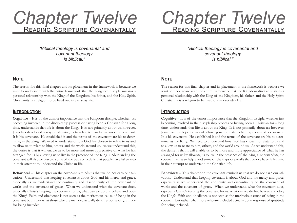## Chapter Twelve

*"Biblical theology is covenantal and covenant theology is biblical."*

#### **NOTE**

The reason for this final chapter and its placement in the framework is because we want to underscore with the entire framework that the Kingdom disciple sustains a personal relationship with the King of the Kingdom, his father, and the Holy Spirit. Christianity is a religion to be lived out in everyday life.

#### **INTRODUCTION**

**Cognitive** – It is of the utmost importance that the Kingdom disciple, whether just becoming involved in the discipleship process or having been a Christian for a long time, understands that life is about the King. It is not primarily about us; however, Jesus has developed a way of allowing us to relate to him by means of a covenant. It is his covenant. He established it and the terms of the covenant are his to determine, as the King. We need to understand how God has chosen to relate to us and to allow us to relate to him, others, and the world around us. As we understand this, the desire is that it will enable us to be more and more appreciative of what he has arranged for us by allowing us to live in the presence of the King. Understanding the covenant will also help avoid some of the traps or pitfalls that people have fallen into in their attempt to understand the Christian life.

**Behavioral** – This chapter on the covenant reminds us that we do not earn our salvation. Understand that keeping covenant is about God and his mercy and grace, especially as we understand the continuity and discontinuity of the covenant of works and the covenant of grace. When we understand what the covenant does, especially Christ's keeping the covenant for us, what can we do but believe and obey the King? Faith and obedience is not seen as the meritorious cause of being in the covenant but rather what those who are included actually do in response of gratitude for being included.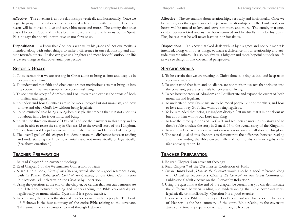**Affective** – The covenant is about relationships, vertically and horizontally. Once we begin to grasp the significance of a personal relationship with the Lord God, our hearts will be moved to love and serve him more and more. The enmity that once existed between God and us has been removed and he dwells in us by his Spirit. Plus, he says that he will never leave us nor forsake us.

**Dispositional** – To know that God deals with us by his grace and not our merits is intended, along with other things, to make a difference in our relationship and attitude towards others. It also can give us a brighter and more hopeful outlook on life as we see things in that covenantal perspective.

#### **SPECIFIC GOALS**

- 1. To be certain that we are trusting in Christ alone to bring us into and keep us in covenant with him.
- 2. To understand that faith and obedience are not meritorious acts that bring us into the covenant, yet are essentials for covenantal living.
- 3. To see how the story of Abraham and Lot illustrate and expose the errors of both moralism and legalism.
- 4. To understand how Christians are to be moral people but not moralists, and how to love and obey God's law without being legalistic.
- 5. To be reminded that being a Kingdom disciple first means that it is not about us but about him who is our Lord and King.
- 6. To take the three questions of DeGraff and see their answers in this story and to then be able to relate the story in Genesis 13 to the overall story of the Kingdom.
- 7. To see how God keeps his covenant even when we sin and fall short of his glory.
- 8. The overall goal of this chapter is to demonstrate the difference between reading and understanding the Bible covenantally and not moralistically or legalistically. (See above question 4.)

#### **TEACHER PREPARATION**

- 1. Re-read Chapter 5 on covenant theology.
- 2. Read Chapter 7 of the Westminster Confession of Faith.
- 3. Susan Hunt's book, *Heirs of the Covenant*, would also be a good reference along with O. Palmer Robertson's *Christ of the Covenant*, or our Great Commission Publications' adult elective on the *Covenant* by Robertson.
- 4. Using the questions at the end of the chapter, be certain that you can demonstrate the difference between reading and understanding the Bible covenantally vs. legalistically or moralistically. Question 3 is a good exercise.
- 5. In one sense, the Bible is the story of God's covenant with his people. The book of Hebrews is the best summary of the entire Bible relating to the covenant. Take some time in preparation to read through Hebrews.